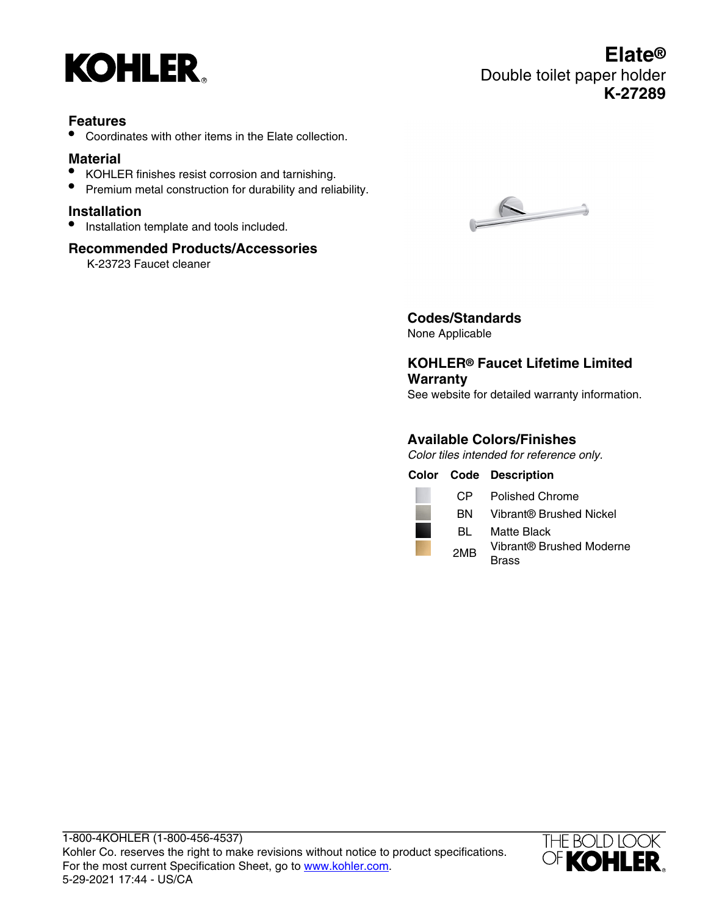

#### **Features**

• Coordinates with other items in the Elate collection.

#### **Material**

- KOHLER finishes resist corrosion and tarnishing.
- Premium metal construction for durability and reliability.

#### **Installation**

• Installation template and tools included.

#### **Recommended Products/Accessories**

K-23723 Faucet cleaner



# **Codes/Standards**

None Applicable

### **KOHLER® Faucet Lifetime Limited Warranty**

See website for detailed warranty information.

#### **Available Colors/Finishes**

Color tiles intended for reference only.

**Color Code Description** CP Polished Chrome BN Vibrant® Brushed Nickel BL Matte Black 2MB Vibrant® Brushed Moderne **Brass** 



## **Elate®** Double toilet paper holder **K-27289**